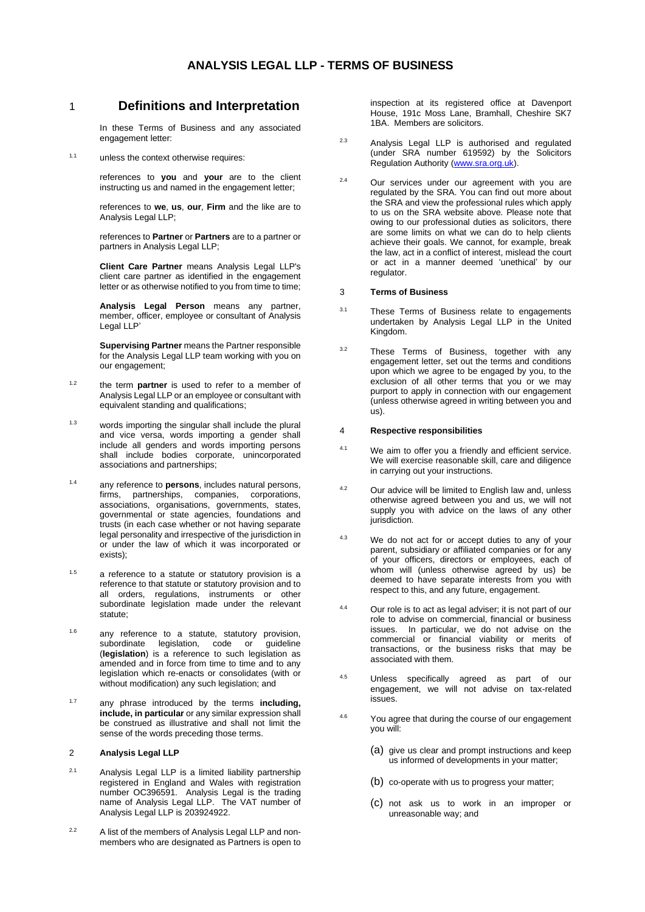1 **Definitions and Interpretation**

In these Terms of Business and any associated engagement letter:

1.1 unless the context otherwise requires:

references to **you** and **your** are to the client instructing us and named in the engagement letter;

references to **we**, **us**, **our**, **Firm** and the like are to Analysis Legal LLP;

references to **Partner** or **Partners** are to a partner or partners in Analysis Legal LLP;

**Client Care Partner** means Analysis Legal LLP's client care partner as identified in the engagement letter or as otherwise notified to you from time to time:

**Analysis Legal Person** means any partner, member, officer, employee or consultant of Analysis Legal LLP'

**Supervising Partner** means the Partner responsible for the Analysis Legal LLP team working with you on our engagement;

- 1.2 the term **partner** is used to refer to a member of Analysis Legal LLP or an employee or consultant with equivalent standing and qualifications;
- 1.3 words importing the singular shall include the plural and vice versa, words importing a gender shall include all genders and words importing persons shall include bodies corporate, unincorporated associations and partnerships;
- 1.4 any reference to **persons**, includes natural persons, firms, partnerships, companies, corporations, associations, organisations, governments, states, governmental or state agencies, foundations and trusts (in each case whether or not having separate legal personality and irrespective of the jurisdiction in or under the law of which it was incorporated or exists);
- $1.5$  a reference to a statute or statutory provision is a reference to that statute or statutory provision and to all orders, regulations, instruments or other subordinate legislation made under the relevant statute:
- $1.6$  any reference to a statute, statutory provision, subordinate legislation, code or guideline subordinate legislation, code or (**legislation**) is a reference to such legislation as amended and in force from time to time and to any legislation which re-enacts or consolidates (with or without modification) any such legislation; and
- 1.7 any phrase introduced by the terms **including, include, in particular** or any similar expression shall be construed as illustrative and shall not limit the sense of the words preceding those terms.

# 2 **Analysis Legal LLP**

- 2.1 Analysis Legal LLP is a limited liability partnership registered in England and Wales with registration number OC396591. Analysis Legal is the trading name of Analysis Legal LLP. The VAT number of Analysis Legal LLP is 203924922.
- <sup>2.2</sup> A list of the members of Analysis Legal LLP and nonmembers who are designated as Partners is open to

inspection at its registered office at Davenport House, 191c Moss Lane, Bramhall, Cheshire SK7 1BA. Members are solicitors.

- 2.3 Analysis Legal LLP is authorised and regulated (under SRA number 619592) by the Solicitors Regulation Authority [\(www.sra.org.uk\)](http://www.sra.org.uk/).
- <sup>2.4</sup> Our services under our agreement with you are regulated by the SRA. You can find out more about the SRA and view the professional rules which apply to us on the SRA website above. Please note that owing to our professional duties as solicitors, there are some limits on what we can do to help clients achieve their goals. We cannot, for example, break the law, act in a conflict of interest, mislead the court or act in a manner deemed 'unethical' by our regulator.

## 3 **Terms of Business**

- 3.1 These Terms of Business relate to engagements undertaken by Analysis Legal LLP in the United Kingdom.
- 3.2 These Terms of Business, together with any engagement letter, set out the terms and conditions upon which we agree to be engaged by you, to the exclusion of all other terms that you or we may purport to apply in connection with our engagement (unless otherwise agreed in writing between you and us).

### 4 **Respective responsibilities**

- 4.1 We aim to offer you a friendly and efficient service. We will exercise reasonable skill, care and diligence in carrying out your instructions.
- 4.2 Our advice will be limited to English law and, unless otherwise agreed between you and us, we will not supply you with advice on the laws of any other jurisdiction.
- 4.3 We do not act for or accept duties to any of your parent, subsidiary or affiliated companies or for any of your officers, directors or employees, each of whom will (unless otherwise agreed by us) be deemed to have separate interests from you with respect to this, and any future, engagement.
- 4.4 Our role is to act as legal adviser; it is not part of our role to advise on commercial, financial or business issues. In particular, we do not advise on the commercial or financial viability or merits of transactions, or the business risks that may be associated with them.
- 4.5 Unless specifically agreed as part of our engagement, we will not advise on tax-related issues.
- 4.6 You agree that during the course of our engagement you will:
	- (a) give us clear and prompt instructions and keep us informed of developments in your matter;
	- (b) co-operate with us to progress your matter;
	- (c) not ask us to work in an improper or unreasonable way; and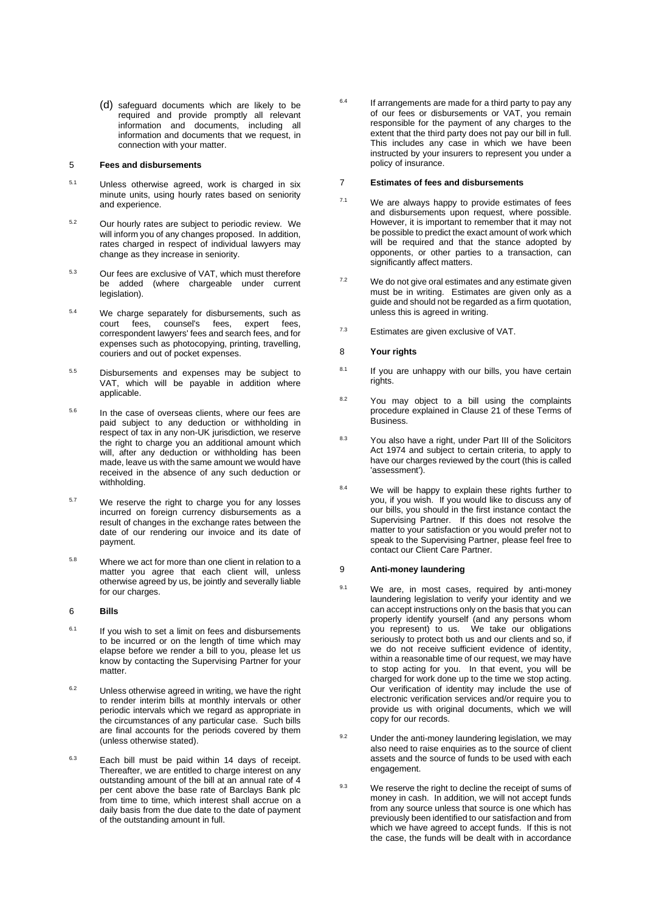(d) safeguard documents which are likely to be required and provide promptly all relevant information and documents, including all information and documents that we request, in connection with your matter.

### 5 **Fees and disbursements**

- 5.1 Unless otherwise agreed, work is charged in six minute units, using hourly rates based on seniority and experience.
- 5.2 Our hourly rates are subject to periodic review. We will inform you of any changes proposed. In addition, rates charged in respect of individual lawyers may change as they increase in seniority.
- 5.3 Our fees are exclusive of VAT, which must therefore be added (where chargeable under current legislation).
- <sup>5.4</sup> We charge separately for disbursements, such as<br>court fees, counsel's fees, expert fees, court fees. correspondent lawyers' fees and search fees, and for expenses such as photocopying, printing, travelling, couriers and out of pocket expenses.
- 5.5 Disbursements and expenses may be subject to VAT, which will be payable in addition where applicable.
- 5.6 In the case of overseas clients, where our fees are paid subject to any deduction or withholding in respect of tax in any non-UK jurisdiction, we reserve the right to charge you an additional amount which will, after any deduction or withholding has been made, leave us with the same amount we would have received in the absence of any such deduction or withholding.
- <sup>5.7</sup> We reserve the right to charge you for any losses incurred on foreign currency disbursements as a result of changes in the exchange rates between the date of our rendering our invoice and its date of payment.
- 5.8 Where we act for more than one client in relation to a matter you agree that each client will, unless otherwise agreed by us, be jointly and severally liable for our charges.

# 6 **Bills**

- $6.1$  If you wish to set a limit on fees and disbursements to be incurred or on the length of time which may elapse before we render a bill to you, please let us know by contacting the Supervising Partner for your matter.
- $6.2$  Unless otherwise agreed in writing, we have the right to render interim bills at monthly intervals or other periodic intervals which we regard as appropriate in the circumstances of any particular case. Such bills are final accounts for the periods covered by them (unless otherwise stated).
- 6.3 Each bill must be paid within 14 days of receipt. Thereafter, we are entitled to charge interest on any outstanding amount of the bill at an annual rate of 4 per cent above the base rate of Barclays Bank plc from time to time, which interest shall accrue on a daily basis from the due date to the date of payment of the outstanding amount in full.

 $6.4$  If arrangements are made for a third party to pay any of our fees or disbursements or VAT, you remain responsible for the payment of any charges to the extent that the third party does not pay our bill in full. This includes any case in which we have been instructed by your insurers to represent you under a policy of insurance.

### 7 **Estimates of fees and disbursements**

- $7.1$  We are always happy to provide estimates of fees and disbursements upon request, where possible. However, it is important to remember that it may not be possible to predict the exact amount of work which will be required and that the stance adopted by opponents, or other parties to a transaction, can significantly affect matters.
- $7.2$  We do not give oral estimates and any estimate given must be in writing. Estimates are given only as a guide and should not be regarded as a firm quotation, unless this is agreed in writing.
- $7.3$  Estimates are given exclusive of VAT.

### 8 **Your rights**

- $8.1$  If you are unhappy with our bills, you have certain rights.
- $8.2$  You may object to a bill using the complaints procedure explained in Clause [21](#page-4-0) of these Terms of Business.
- 8.3 You also have a right, under Part III of the Solicitors Act 1974 and subject to certain criteria, to apply to have our charges reviewed by the court (this is called 'assessment').
- 8.4 We will be happy to explain these rights further to you, if you wish. If you would like to discuss any of our bills, you should in the first instance contact the Supervising Partner. If this does not resolve the matter to your satisfaction or you would prefer not to speak to the Supervising Partner, please feel free to contact our Client Care Partner.

### 9 **Anti-money laundering**

- 9.1 We are, in most cases, required by anti-money laundering legislation to verify your identity and we can accept instructions only on the basis that you can properly identify yourself (and any persons whom you represent) to us. We take our obligations seriously to protect both us and our clients and so, if we do not receive sufficient evidence of identity, within a reasonable time of our request, we may have to stop acting for you. In that event, you will be charged for work done up to the time we stop acting. Our verification of identity may include the use of electronic verification services and/or require you to provide us with original documents, which we will copy for our records.
- $9.2$  Under the anti-money laundering legislation, we may also need to raise enquiries as to the source of client assets and the source of funds to be used with each engagement.
- $9.3$  We reserve the right to decline the receipt of sums of money in cash. In addition, we will not accept funds from any source unless that source is one which has previously been identified to our satisfaction and from which we have agreed to accept funds. If this is not the case, the funds will be dealt with in accordance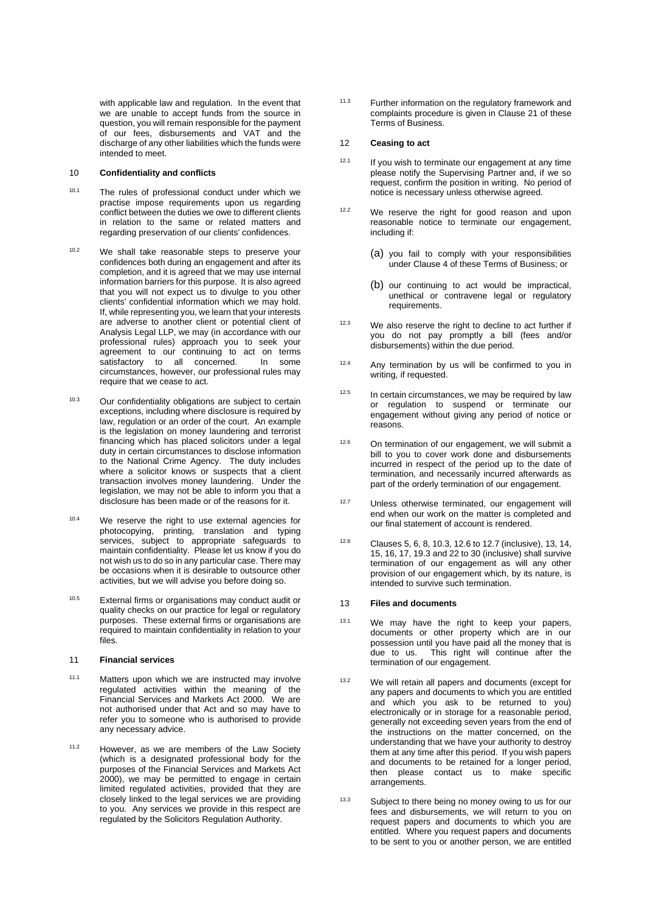with applicable law and regulation. In the event that we are unable to accept funds from the source in question, you will remain responsible for the payment of our fees, disbursements and VAT and the discharge of any other liabilities which the funds were intended to meet.

# 10 **Confidentiality and conflicts**

- 10.1 The rules of professional conduct under which we practise impose requirements upon us regarding conflict between the duties we owe to different clients in relation to the same or related matters and regarding preservation of our clients' confidences.
- 10.2 We shall take reasonable steps to preserve your confidences both during an engagement and after its completion, and it is agreed that we may use internal information barriers for this purpose. It is also agreed that you will not expect us to divulge to you other clients' confidential information which we may hold. If, while representing you, we learn that your interests are adverse to another client or potential client of Analysis Legal LLP, we may (in accordance with our professional rules) approach you to seek your agreement to our continuing to act on terms<br>satisfactory to all concerned. In some satisfactory to all concerned. circumstances, however, our professional rules may require that we cease to act.
- <sup>10.3</sup> Our confidentiality obligations are subject to certain exceptions, including where disclosure is required by law, regulation or an order of the court. An example is the legislation on money laundering and terrorist financing which has placed solicitors under a legal duty in certain circumstances to disclose information to the National Crime Agency. The duty includes where a solicitor knows or suspects that a client transaction involves money laundering. Under the legislation, we may not be able to inform you that a disclosure has been made or of the reasons for it.
- 10.4 We reserve the right to use external agencies for photocopying, printing, translation and typing services, subject to appropriate safeguards to maintain confidentiality. Please let us know if you do not wish us to do so in any particular case. There may be occasions when it is desirable to outsource other activities, but we will advise you before doing so.
- 10.5 External firms or organisations may conduct audit or quality checks on our practice for legal or regulatory purposes. These external firms or organisations are required to maintain confidentiality in relation to your files.

### 11 **Financial services**

- 11.1 Matters upon which we are instructed may involve regulated activities within the meaning of the Financial Services and Markets Act 2000. We are not authorised under that Act and so may have to refer you to someone who is authorised to provide any necessary advice.
- 11.2 However, as we are members of the Law Society (which is a designated professional body for the purposes of the Financial Services and Markets Act 2000), we may be permitted to engage in certain limited regulated activities, provided that they are closely linked to the legal services we are providing to you. Any services we provide in this respect are regulated by the Solicitors Regulation Authority.

11.3 Further information on the regulatory framework and complaints procedure is given in Clause 21 of these Terms of Business.

#### 12 **Ceasing to act**

- $12.1$  If you wish to terminate our engagement at any time please notify the Supervising Partner and, if we so request, confirm the position in writing. No period of notice is necessary unless otherwise agreed.
- <sup>12.2</sup> We reserve the right for good reason and upon reasonable notice to terminate our engagement. including if:
	- (a) you fail to comply with your responsibilities under Clause 4 of these Terms of Business; or
	- (b) our continuing to act would be impractical, unethical or contravene legal or regulatory requirements.
- $12.3$  We also reserve the right to decline to act further if you do not pay promptly a bill (fees and/or disbursements) within the due period.
- $12.4$  Any termination by us will be confirmed to you in writing, if requested.
- $12.5$  In certain circumstances, we may be required by law or regulation to suspend or terminate our engagement without giving any period of notice or reasons.
- $12.6$  On termination of our engagement, we will submit a bill to you to cover work done and disbursements incurred in respect of the period up to the date of termination, and necessarily incurred afterwards as part of the orderly termination of our engagement.
- <sup>12.7</sup> Unless otherwise terminated, our engagement will end when our work on the matter is completed and our final statement of account is rendered.
- 12.8 Clauses 5, 6, 8, 10.3, 12.6 to 12.7 (inclusive), 13, 14, 15, 16, 17, 19.3 and 22 to 30 (inclusive) shall survive termination of our engagement as will any other provision of our engagement which, by its nature, is intended to survive such termination.

# 13 **Files and documents**

- <sup>13.1</sup> We may have the right to keep your papers, documents or other property which are in our possession until you have paid all the money that is due to us. This right will continue after the termination of our engagement.
- 13.2 We will retain all papers and documents (except for any papers and documents to which you are entitled and which you ask to be returned to you) electronically or in storage for a reasonable period, generally not exceeding seven years from the end of the instructions on the matter concerned, on the understanding that we have your authority to destroy them at any time after this period. If you wish papers and documents to be retained for a longer period, then please contact us to make specific arrangements.
- 13.3 Subject to there being no money owing to us for our fees and disbursements, we will return to you on request papers and documents to which you are entitled. Where you request papers and documents to be sent to you or another person, we are entitled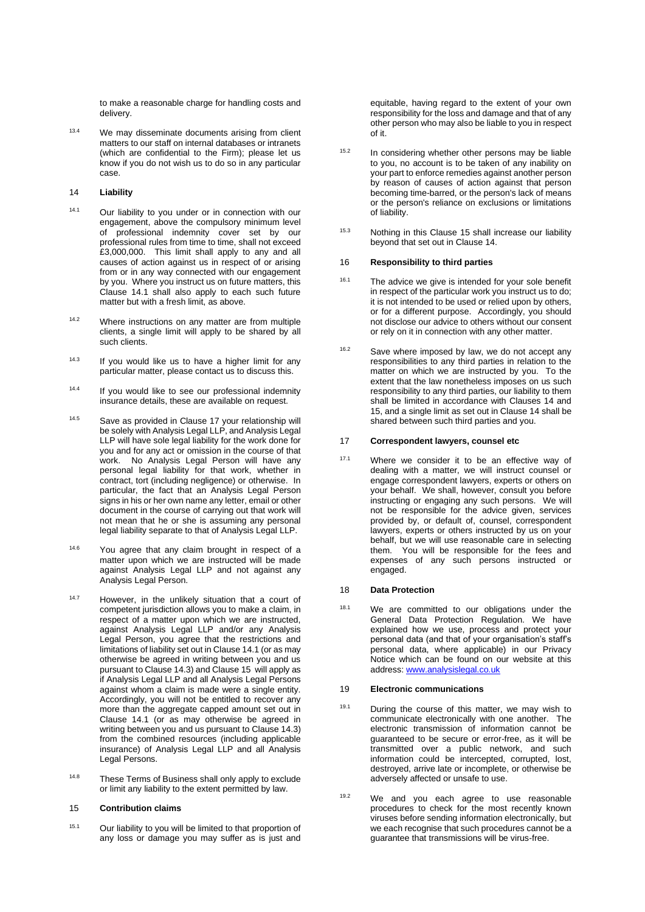to make a reasonable charge for handling costs and delivery.

13.4 We may disseminate documents arising from client matters to our staff on internal databases or intranets (which are confidential to the Firm); please let us know if you do not wish us to do so in any particular case.

#### 14 **Liability**

- 14.1 Our liability to you under or in connection with our engagement, above the compulsory minimum level of professional indemnity cover set by our professional rules from time to time, shall not exceed £3,000,000. This limit shall apply to any and all causes of action against us in respect of or arising from or in any way connected with our engagement by you. Where you instruct us on future matters, this Clause 14.1 shall also apply to each such future matter but with a fresh limit, as above.
- 14.2 Where instructions on any matter are from multiple clients, a single limit will apply to be shared by all such clients.
- 14.3 If you would like us to have a higher limit for any particular matter, please contact us to discuss this.
- <sup>14.4</sup> If you would like to see our professional indemnity insurance details, these are available on request.
- 14.5 Save as provided in Clause 17 your relationship will be solely with Analysis Legal LLP, and Analysis Legal LLP will have sole legal liability for the work done for you and for any act or omission in the course of that work. No Analysis Legal Person will have any personal legal liability for that work, whether in contract, tort (including negligence) or otherwise. In particular, the fact that an Analysis Legal Person signs in his or her own name any letter, email or other document in the course of carrying out that work will not mean that he or she is assuming any personal legal liability separate to that of Analysis Legal LLP.
- 14.6 You agree that any claim brought in respect of a matter upon which we are instructed will be made against Analysis Legal LLP and not against any Analysis Legal Person.
- 14.7 However, in the unlikely situation that a court of competent jurisdiction allows you to make a claim, in respect of a matter upon which we are instructed, against Analysis Legal LLP and/or any Analysis Legal Person, you agree that the restrictions and limitations of liability set out in Clause 14.1 (or as may otherwise be agreed in writing between you and us pursuant to Clause 14.3) and Clause 15 will apply as if Analysis Legal LLP and all Analysis Legal Persons against whom a claim is made were a single entity. Accordingly, you will not be entitled to recover any more than the aggregate capped amount set out in Clause 14.1 (or as may otherwise be agreed in writing between you and us pursuant to Clause 14.3) from the combined resources (including applicable insurance) of Analysis Legal LLP and all Analysis Legal Persons.
- 14.8 These Terms of Business shall only apply to exclude or limit any liability to the extent permitted by law.

#### 15 **Contribution claims**

15.1 Our liability to you will be limited to that proportion of any loss or damage you may suffer as is just and equitable, having regard to the extent of your own responsibility for the loss and damage and that of any other person who may also be liable to you in respect of it.

- 15.2 In considering whether other persons may be liable to you, no account is to be taken of any inability on your part to enforce remedies against another person by reason of causes of action against that person becoming time-barred, or the person's lack of means or the person's reliance on exclusions or limitations of liability.
- 15.3 Nothing in this Clause 15 shall increase our liability beyond that set out in Clause 14.

## 16 **Responsibility to third parties**

- <sup>16.1</sup> The advice we give is intended for your sole benefit in respect of the particular work you instruct us to do; it is not intended to be used or relied upon by others, or for a different purpose. Accordingly, you should not disclose our advice to others without our consent or rely on it in connection with any other matter.
- 16.2 Save where imposed by law, we do not accept any responsibilities to any third parties in relation to the matter on which we are instructed by you. To the extent that the law nonetheless imposes on us such responsibility to any third parties, our liability to them shall be limited in accordance with Clauses 14 and 15, and a single limit as set out in Clause 14 shall be shared between such third parties and you.

#### 17 **Correspondent lawyers, counsel etc**

17.1 Where we consider it to be an effective way of dealing with a matter, we will instruct counsel or engage correspondent lawyers, experts or others on your behalf. We shall, however, consult you before instructing or engaging any such persons. We will not be responsible for the advice given, services provided by, or default of, counsel, correspondent lawyers, experts or others instructed by us on your behalf, but we will use reasonable care in selecting them. You will be responsible for the fees and expenses of any such persons instructed or engaged.

### 18 **Data Protection**

18.1 We are committed to our obligations under the General Data Protection Regulation. We have explained how we use, process and protect your personal data (and that of your organisation's staff's personal data, where applicable) in our Privacy Notice which can be found on our website at this address: [www.analysislegal.co.uk](http://www.analysislegal.co.uk/)

#### 19 **Electronic communications**

- 19.1 During the course of this matter, we may wish to communicate electronically with one another. The electronic transmission of information cannot be guaranteed to be secure or error-free, as it will be transmitted over a public network, and such information could be intercepted, corrupted, lost, destroyed, arrive late or incomplete, or otherwise be adversely affected or unsafe to use.
- 19.2 We and you each agree to use reasonable procedures to check for the most recently known viruses before sending information electronically, but we each recognise that such procedures cannot be a guarantee that transmissions will be virus-free.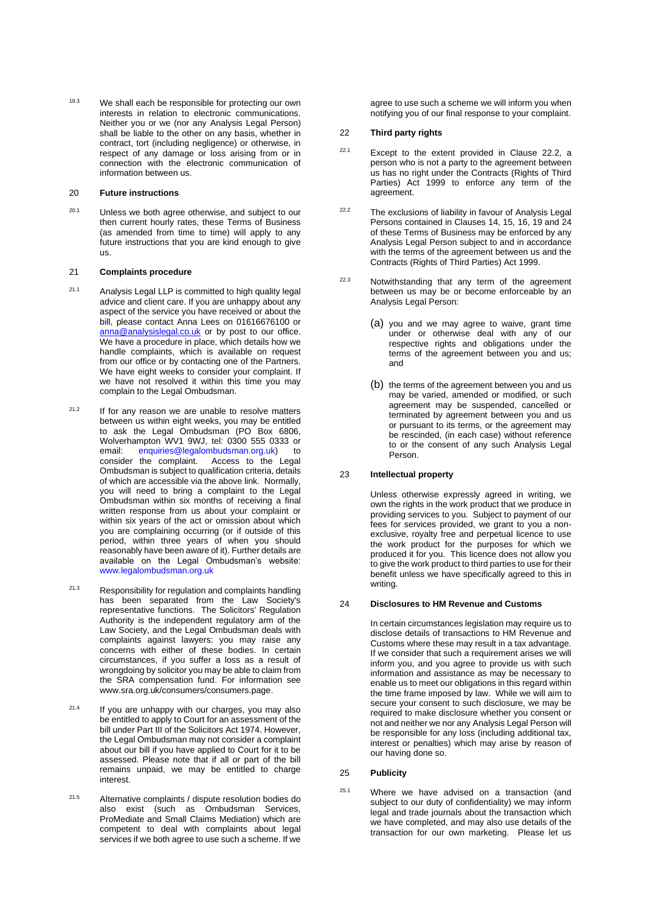19.3 We shall each be responsible for protecting our own interests in relation to electronic communications. Neither you or we (nor any Analysis Legal Person) shall be liable to the other on any basis, whether in contract, tort (including negligence) or otherwise, in respect of any damage or loss arising from or in connection with the electronic communication of information between us.

### 20 **Future instructions**

 $20.1$  Unless we both agree otherwise, and subject to our then current hourly rates, these Terms of Business (as amended from time to time) will apply to any future instructions that you are kind enough to give us.

#### <span id="page-4-0"></span>21 **Complaints procedure**

- $21.1$  Analysis Legal LLP is committed to high quality legal advice and client care. If you are unhappy about any aspect of the service you have received or about the bill, please contact Anna Lees on 01616676100 or [anna@analysislegal.co.uk](mailto:anna@analysislegal.co.uk) or by post to our office. We have a procedure in place, which details how we handle complaints, which is available on request from our office or by contacting one of the Partners. We have eight weeks to consider your complaint. If we have not resolved it within this time you may complain to the Legal Ombudsman.
- $21.2$  If for any reason we are unable to resolve matters between us within eight weeks, you may be entitled to ask the Legal Ombudsman (PO Box 6806, Wolverhampton WV1 9WJ, tel: 0300 555 0333 or email: enquiries@legalombudsman.org.uk) to consider the complaint. Access to the Legal Ombudsman is subject to qualification criteria, details of which are accessible via the above link. Normally, you will need to bring a complaint to the Legal Ombudsman within six months of receiving a final written response from us about your complaint or within six years of the act or omission about which you are complaining occurring (or if outside of this period, within three years of when you should reasonably have been aware of it). Further details are available on the Legal Ombudsman's website: www.legalombudsman.org.uk
- 21.3 Responsibility for regulation and complaints handling has been separated from the Law Society's representative functions. The Solicitors' Regulation Authority is the independent regulatory arm of the Law Society, and the Legal Ombudsman deals with complaints against lawyers: you may raise any concerns with either of these bodies. In certain circumstances, if you suffer a loss as a result of wrongdoing by solicitor you may be able to claim from the SRA compensation fund. For information see [www.sra.org.uk/consumers/consumers.page.](http://www.sra.org.uk/consumers/consumers.page)
- $21.4$  If you are unhappy with our charges, you may also be entitled to apply to Court for an assessment of the bill under Part III of the Solicitors Act 1974. However, the Legal Ombudsman may not consider a complaint about our bill if you have applied to Court for it to be assessed. Please note that if all or part of the bill remains unpaid, we may be entitled to charge interest.
- 21.5 Alternative complaints / dispute resolution bodies do also exist (such as Ombudsman Services, ProMediate and Small Claims Mediation) which are competent to deal with complaints about legal services if we both agree to use such a scheme. If we

agree to use such a scheme we will inform you when notifying you of our final response to your complaint.

### 22 **Third party rights**

- $22.1$  Except to the extent provided in Clause 22.2, a person who is not a party to the agreement between us has no right under the Contracts (Rights of Third Parties) Act 1999 to enforce any term of the agreement.
- <sup>22.2</sup> The exclusions of liability in favour of Analysis Legal Persons contained in Clauses 14, 15, 16, 19 and 24 of these Terms of Business may be enforced by any Analysis Legal Person subject to and in accordance with the terms of the agreement between us and the Contracts (Rights of Third Parties) Act 1999.
- 22.3 Notwithstanding that any term of the agreement between us may be or become enforceable by an Analysis Legal Person:
	- (a) you and we may agree to waive, grant time under or otherwise deal with any of our respective rights and obligations under the terms of the agreement between you and us; and
	- (b) the terms of the agreement between you and us may be varied, amended or modified, or such agreement may be suspended, cancelled or terminated by agreement between you and us or pursuant to its terms, or the agreement may be rescinded, (in each case) without reference to or the consent of any such Analysis Legal Person.

# 23 **Intellectual property**

Unless otherwise expressly agreed in writing, we own the rights in the work product that we produce in providing services to you. Subject to payment of our fees for services provided, we grant to you a nonexclusive, royalty free and perpetual licence to use the work product for the purposes for which we produced it for you. This licence does not allow you to give the work product to third parties to use for their benefit unless we have specifically agreed to this in writing.

## 24 **Disclosures to HM Revenue and Customs**

In certain circumstances legislation may require us to disclose details of transactions to HM Revenue and Customs where these may result in a tax advantage. If we consider that such a requirement arises we will inform you, and you agree to provide us with such information and assistance as may be necessary to enable us to meet our obligations in this regard within the time frame imposed by law. While we will aim to secure your consent to such disclosure, we may be required to make disclosure whether you consent or not and neither we nor any Analysis Legal Person will be responsible for any loss (including additional tax, interest or penalties) which may arise by reason of our having done so.

## 25 **Publicity**

25.1 Where we have advised on a transaction (and subject to our duty of confidentiality) we may inform legal and trade journals about the transaction which we have completed, and may also use details of the transaction for our own marketing. Please let us